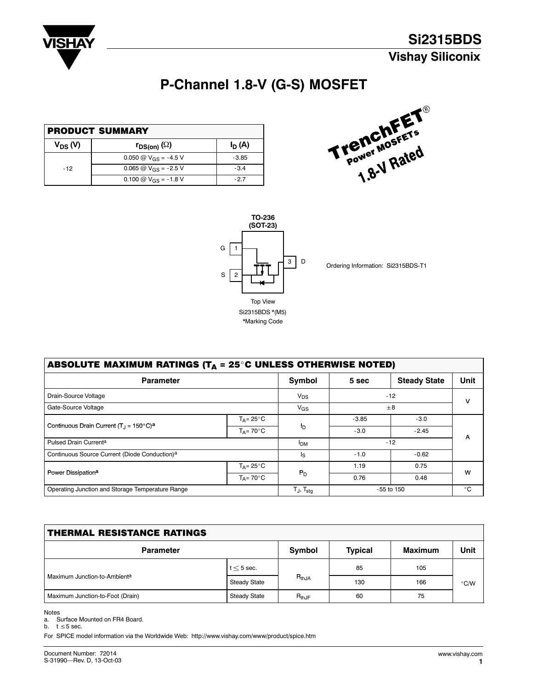<span id="page-0-0"></span>

# **P-Channel 1.8-V (G-S) MOSFET**

| <b>PRODUCT SUMMARY</b> |                           |          |  |  |
|------------------------|---------------------------|----------|--|--|
| $V_{DS} (V)$           | $r_{DS(on)}(\Omega)$      | $I_D(A)$ |  |  |
|                        | 0.050 @ $V_{GS}$ = -4.5 V | $-3.85$  |  |  |
| $-12$                  | 0.065 @ $V_{GS}$ = -2.5 V | $-3.4$   |  |  |
|                        | 0.100 @ $V_{GS}$ = -1.8 V | -27      |  |  |





Ordering Information: Si2315BDS-T1

| ABSOLUTE MAXIMUM RATINGS ( $T_A = 25^\circ$ C UNLESS OTHERWISE NOTED) |                           |                        |                |                     |              |  |
|-----------------------------------------------------------------------|---------------------------|------------------------|----------------|---------------------|--------------|--|
| <b>Parameter</b>                                                      |                           | Symbol                 | 5 sec          | <b>Steady State</b> | <b>Unit</b>  |  |
| Drain-Source Voltage                                                  |                           | $V_{DS}$               | $-12$          |                     |              |  |
| Gate-Source Voltage                                                   |                           | $V_{GS}$               | $+8$           |                     | v            |  |
|                                                                       | $T_A = 25^\circ \text{C}$ | I <sub>D</sub>         | $-3.85$        | $-3.0$              |              |  |
| Continuous Drain Current $(T1 = 150°C)a$                              | $T_A = 70^{\circ}$ C      |                        | $-3.0$         | $-2.45$             |              |  |
| Pulsed Drain Current <sup>a</sup>                                     |                           | <b>I</b> <sub>DM</sub> | $-12$          |                     | A            |  |
| Continuous Source Current (Diode Conduction) <sup>a</sup>             |                           | Is                     | $-1.0$         | $-0.62$             |              |  |
|                                                                       | $T_A = 25^{\circ}$ C      |                        | 1.19           | 0.75                | w            |  |
| Power Dissipation <sup>a</sup>                                        | $T_A = 70^\circ \text{C}$ | $P_D$                  | 0.76           | 0.48                |              |  |
| Operating Junction and Storage Temperature Range                      |                           | Tj, T <sub>sta</sub>   | $-55$ to $150$ |                     | $^{\circ}$ C |  |

| <b>THERMAL RESISTANCE RATINGS</b> |              |               |                |                |               |  |  |
|-----------------------------------|--------------|---------------|----------------|----------------|---------------|--|--|
| <b>Parameter</b>                  |              | <b>Symbol</b> | <b>Typical</b> | <b>Maximum</b> | Unit          |  |  |
|                                   | $t < 5$ sec. | $R_{thJA}$    | 85             | 105            | $\degree$ C/W |  |  |
| Maximum Junction-to-Ambienta      | Steady State |               | 130            | 166            |               |  |  |
| Maximum Junction-to-Foot (Drain)  | Steady State | $R_{thJF}$    | 60             | 75             |               |  |  |

Notes

a. Surface Mounted on FR4 Board.

b.  $t \leq 5$  sec.

For SPICE model information via the Worldwide Web: http://www.vishay.com/www/product/spice.htm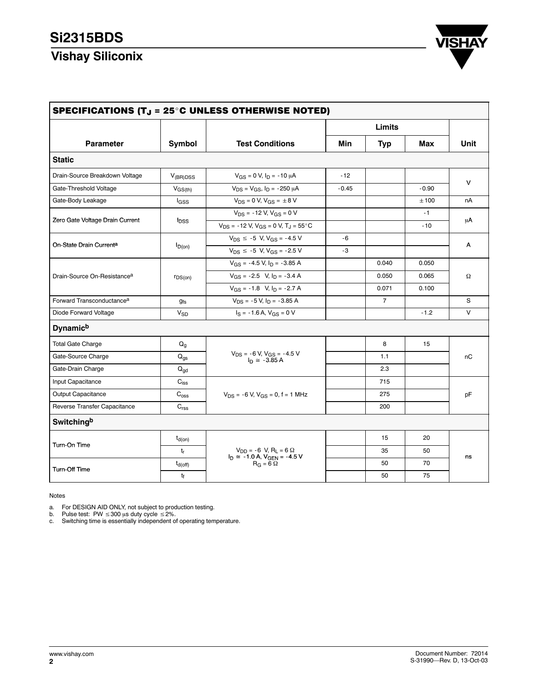### **Si2315BDS**

# **Vishay Siliconix**



| <b>Parameter</b>                        | <b>Symbol</b>           |                                                             | Limits  |                |         |        |  |
|-----------------------------------------|-------------------------|-------------------------------------------------------------|---------|----------------|---------|--------|--|
|                                         |                         | <b>Test Conditions</b>                                      | Min     | <b>Typ</b>     | Max     | Unit   |  |
| <b>Static</b>                           |                         |                                                             |         |                |         |        |  |
| Drain-Source Breakdown Voltage          | $V_{(BR)DSS}$           | $V_{GS} = 0$ V, $I_D = -10 \mu A$                           | $-12$   |                |         | v      |  |
| Gate-Threshold Voltage                  | $V_{GS(th)}$            | $V_{DS} = V_{GS}$ , $I_D = -250 \mu A$                      | $-0.45$ |                | $-0.90$ |        |  |
| Gate-Body Leakage                       | l <sub>GSS</sub>        | $V_{DS} = 0 V, V_{GS} = \pm 8 V$                            |         |                | ±100    | nA     |  |
|                                         |                         | $V_{DS}$ = -12 V, $V_{GS}$ = 0 V                            |         |                | $-1$    |        |  |
| Zero Gate Voltage Drain Current         | <b>l</b> <sub>DSS</sub> | $V_{DS}$ = -12 V, $V_{GS}$ = 0 V, T <sub>J</sub> = 55 °C    |         |                | $-10$   | μA     |  |
|                                         |                         | $V_{DS} \le -5$ V, $V_{GS} = -4.5$ V                        | - 6     |                |         | A      |  |
| On-State Drain Current <sup>a</sup>     | $I_{D(on)}$             | $V_{DS} \le -5$ V, $V_{GS} = -2.5$ V                        | -3      |                |         |        |  |
| Drain-Source On-Resistance <sup>a</sup> |                         | $V_{GS}$ = -4.5 V, $I_D$ = -3.85 A                          |         | 0.040          | 0.050   |        |  |
|                                         | $r_{DS(on)}$            | $V_{GS} = -2.5$ V, $I_D = -3.4$ A                           |         | 0.050          | 0.065   | Ω      |  |
|                                         |                         | $V_{GS} = -1.8$ V, $I_D = -2.7$ A                           |         | 0.071          | 0.100   |        |  |
| Forward Transconductance <sup>a</sup>   | $g_{fs}$                | $V_{DS}$ = -5 V, $I_D$ = -3.85 A                            |         | $\overline{7}$ |         | S      |  |
| Diode Forward Voltage                   | $V_{SD}$                | $I_S = -1.6$ A, $V_{GS} = 0$ V                              |         |                | $-1.2$  | $\vee$ |  |
| <b>Dynamich</b>                         |                         |                                                             |         |                |         |        |  |
| <b>Total Gate Charge</b>                | $Q_g$                   |                                                             |         | 8              | 15      |        |  |
| Gate-Source Charge                      | $Q_{\text{qs}}$         | $V_{DS}$ = -6 V, $V_{GS}$ = -4.5 V<br>$I_n \approx -3.85 A$ |         | 1.1            |         | nC     |  |
| Gate-Drain Charge                       | $Q_{gd}$                |                                                             |         | 2.3            |         |        |  |
| Input Capacitance                       | $C_{iss}$               |                                                             |         | 715            |         |        |  |
| Output Capacitance                      | $\mathrm{C_{oss}}$      | $V_{DS}$ = -6 V, $V_{GS}$ = 0, f = 1 MHz                    |         | 275            |         | рF     |  |
| Reverse Transfer Capacitance            | $C_{\text{rss}}$        |                                                             |         | 200            |         |        |  |
| Switchingb                              |                         |                                                             |         |                |         |        |  |
|                                         | $t_{d(on)}$             |                                                             |         | 15             | 20      |        |  |
| Turn-On Time                            | $t_r$                   | $V_{DD} = -6 V$ , R <sub>L</sub> = 6 $\Omega$               |         | 35             | 50      |        |  |
|                                         | $t_{d(Off)}$            | $I_D \cong -1.0$ A, $V_{GEN} = -4.5$ V<br>$R_G = 6 \Omega$  |         | 50             | 70      | ns     |  |
| Turn-Off Time                           | tf                      |                                                             |         | 50             | 75      |        |  |

#### Notes

a. For DESIGN AID ONLY, not subject to production testing.<br>b. Pulse test: PW ≤300 μs duty cycle ≤2%.<br>c. Switching time is essentially independent of operating temperature.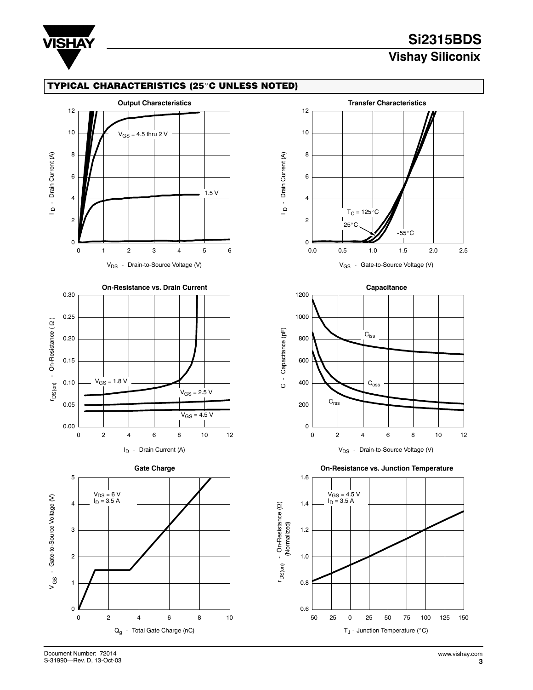

# **Si2315BDS Vishay Siliconix**

### TYPICAL CHARACTERISTICS (25°C UNLESS NOTED)









**On-Resistance vs. Junction Temperature**

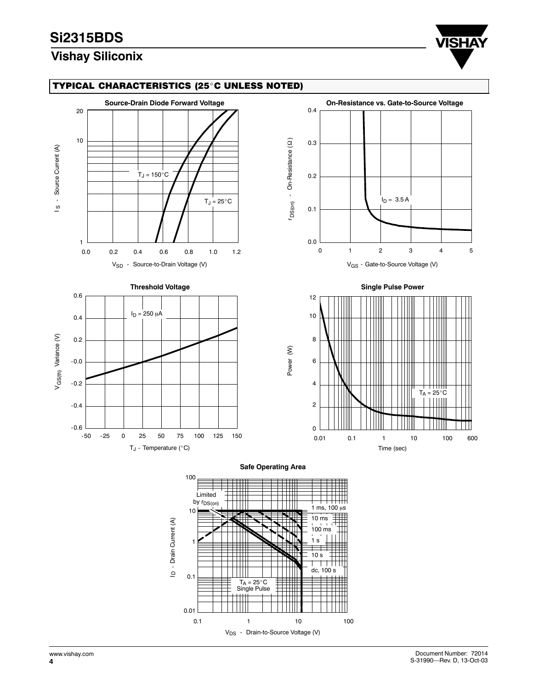## **Si2315BDS**

## **Vishay Siliconix**



### TYPICAL CHARACTERISTICS (25°C UNLESS NOTED)



1

0.01

0.1

<u>ہ</u>

V<sub>DS</sub> - Drain-to-Source Voltage (V)

0.1 1 10 100

=

dc, 100 s

Τ ┯

1 s  $10 s$ 

TA = 25<sup>C</sup> Single Pulse

 $^{\dagger\dagger\dagger\dagger}$ 

**[4](#page-0-0)**

100